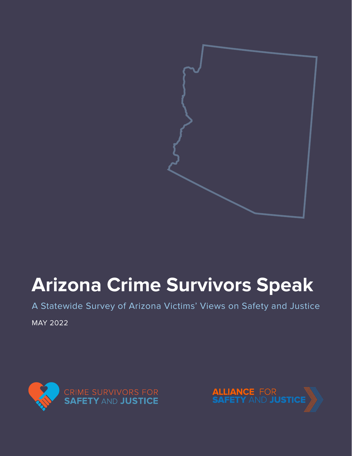

# **Arizona Crime Survivors Speak**

A Statewide Survey of Arizona Victims' Views on Safety and Justice

MAY 2022



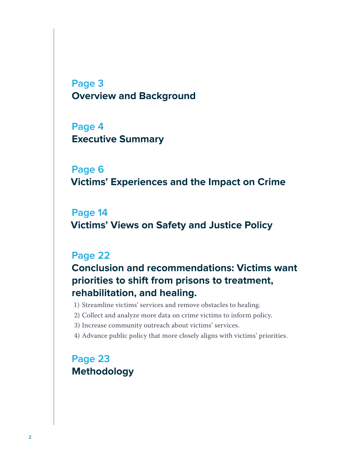**[Page 3](#page-2-0) [Overview and Background](#page-2-0)**

**[Page 4](#page-3-0) [Executive Summary](#page-3-0)**

**[Page 6](#page-5-0) [Victims' Experiences and the Impact on Crime](#page-5-0)**

**[Page 14](#page-13-0) [Victims' Views on Safety and Justice Policy](#page-13-0)**

# **[Page 22](#page-21-0)**

**[Conclusion and recommendations: Victims want](#page-21-0)  [priorities to shift from prisons to treatment,](#page-21-0)  [rehabilitation, and healing.](#page-21-0)**

1) [Streamline victims' services and remove obstacles to healing.](#page-21-0)

- 2) [Collect and analyze more data on crime victims to inform policy.](#page-21-0)
- 3) [Increase community outreach about victims' services.](#page-21-0)
- 4) [Advance public policy that more closely aligns with victims' priorities.](#page-21-0)

# **[Page 23](#page-22-0) [Methodology](#page-22-0)**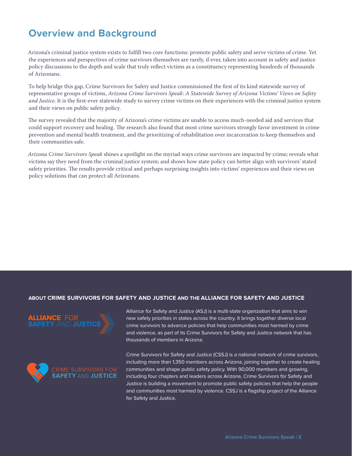# <span id="page-2-0"></span>**Overview and Background**

Arizona's criminal justice system exists to fulfill two core functions: promote public safety and serve victims of crime. Yet the experiences and perspectives of crime survivors themselves are rarely, if ever, taken into account in safety and justice policy discussions to the depth and scale that truly reflect victims as a constituency representing hundreds of thousands of Arizonans.

To help bridge this gap, Crime Survivors for Safety and Justice commissioned the first of its kind statewide survey of representative groups of victims, *Arizona Crime Survivors Speak: A Statewide Survey of Arizona Victims' Views on Safety and Justice*. It is the first-ever statewide study to survey crime victims on their experiences with the criminal justice system and their views on public safety policy.

The survey revealed that the majority of Arizona's crime victims are unable to access much-needed aid and services that could support recovery and healing. The research also found that most crime survivors strongly favor investment in crime prevention and mental health treatment, and the prioritizing of rehabilitation over incarceration to keep themselves and their communities safe.

*Arizona Crime Survivors Speak* shines a spotlight on the myriad ways crime survivors are impacted by crime; reveals what victims say they need from the criminal justice system; and shows how state policy can better align with survivors' stated safety priorities. The results provide critical and perhaps surprising insights into victims' experiences and their views on policy solutions that can protect all Arizonans.

# **ABOUT CRIME SURVIVORS FOR SAFETY AND JUSTICE AND THE ALLIANCE FOR SAFETY AND JUSTICE**





Alliance for Safety and Justice (ASJ) is a multi-state organization that aims to win new safety priorities in states across the country. It brings together diverse local crime survivors to advance policies that help communities most harmed by crime and violence, as part of its Crime Survivors for Safety and Justice network that has thousands of members in Arizona.

Crime Survivors for Safety and Justice (CSSJ) is a national network of crime survivors, including more than 1,350 members across Arizona, joining together to create healing communities and shape public safety policy. With 90,000 members and growing, including four chapters and leaders across Arizona, Crime Survivors for Safety and Justice is building a movement to promote public safety policies that help the people and communities most harmed by violence. CSSJ is a flagship project of the Alliance for Safety and Justice.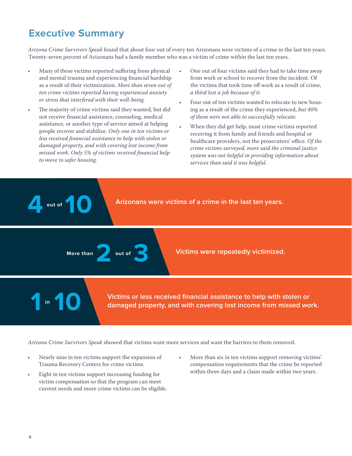# <span id="page-3-0"></span>**Executive Summary**

*Arizona Crime Survivors Speak* found that about four out of every ten Arizonans were victims of a crime in the last ten years. Twenty-seven percent of Arizonans had a family member who was a victim of crime within the last ten years.

- Many of these victims reported suffering from physical and mental trauma and experiencing financial hardship as a result of their victimization. *More than seven out of ten crime victims reported having experienced anxiety or stress that interfered with their well-being.*
- The majority of crime victims said they wanted, but did not receive financial assistance, counseling, medical assistance, or another type of service aimed at helping people recover and stabilize. *Only one in ten victims or less received financial assistance to help with stolen or damaged property, and with covering lost income from missed work. Only 5% of victims received financial help to move to safer housing.*
- One out of four victims said they had to take time away from work or school to recover from the incident. Of the victims that took time off work as a result of crime, *a third lost a job because of it.*
- Four out of ten victims wanted to relocate to new housing as a result of the crime they experienced, *but 40% of them were not able to successfully relocate.*
- When they did get help, most crime victims reported receiving it from family and friends and hospital or healthcare providers, not the prosecutors' office. *Of the crime victims surveyed, more said the criminal justice system was not helpful in providing information about services than said it was helpful.*

**Arizonans were victims of a crime in the last ten years.** 

More than **and the sum out of 3 Victims were repeatedly victimized.** 

**10 10 a 10 victims or less received financial assistance to help with stolen or <b>10 damaged property, and with covering lost income from missed work.** 

*Arizona Crime Survivors Speak* showed that victims want more services and want the barriers to them removed.

- Nearly nine in ten victims support the expansion of Trauma Recovery Centers for crime victims.
- Eight in ten victims support increasing funding for victim compensation so that the program can meet current needs and more crime victims can be eligible.
- More than six in ten victims support removing victims' compensation requirements that the crime be reported within three days and a claim made within two years.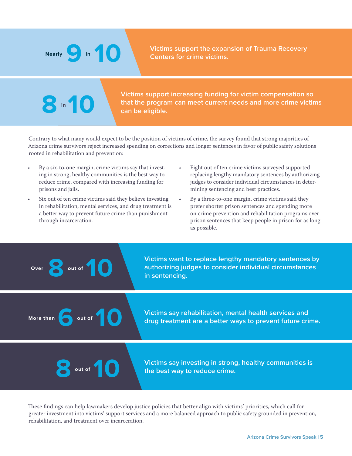**8** in 10

**Victims support the expansion of Trauma Recovery <b>10 10 Centers for crime victims.** 

**Victims support increasing funding for victim compensation so that the program can meet current needs and more crime victims 8 10 can be eligible.**

Contrary to what many would expect to be the position of victims of crime, the survey found that strong majorities of Arizona crime survivors reject increased spending on corrections and longer sentences in favor of public safety solutions rooted in rehabilitation and prevention:

- By a six-to-one margin, crime victims say that investing in strong, healthy communities is the best way to reduce crime, compared with increasing funding for prisons and jails.
- Six out of ten crime victims said they believe investing in rehabilitation, mental services, and drug treatment is a better way to prevent future crime than punishment through incarceration.
- Eight out of ten crime victims surveyed supported replacing lengthy mandatory sentences by authorizing judges to consider individual circumstances in determining sentencing and best practices.
- By a three-to-one margin, crime victims said they prefer shorter prison sentences and spending more on crime prevention and rehabilitation programs over prison sentences that keep people in prison for as long as possible.

Over **out of** 

**8 authorizing judges to consider individual circumstances by authorizing judges to consider individual circumstances in sentencing.** 

**More than 10 10 10 10 10 drug treatment are a better ways to prevent future crime.** 

**Victims say investing in strong, healthy communities is** out of **10 the best way to reduce crime.** 

These findings can help lawmakers develop justice policies that better align with victims' priorities, which call for greater investment into victims' support services and a more balanced approach to public safety grounded in prevention, rehabilitation, and treatment over incarceration.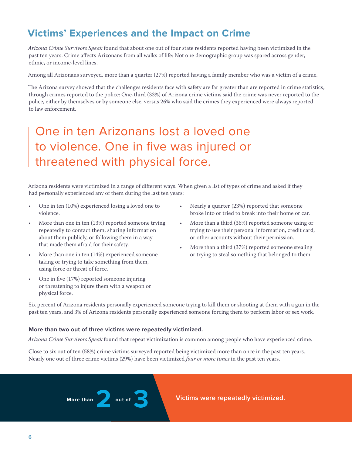# <span id="page-5-0"></span>**Victims' Experiences and the Impact on Crime**

*Arizona Crime Survivors Speak* found that about one out of four state residents reported having been victimized in the past ten years. Crime affects Arizonans from all walks of life: Not one demographic group was spared across gender, ethnic, or income-level lines.

Among all Arizonans surveyed, more than a quarter (27%) reported having a family member who was a victim of a crime.

The Arizona survey showed that the challenges residents face with safety are far greater than are reported in crime statistics, through crimes reported to the police: One-third (33%) of Arizona crime victims said the crime was never reported to the police, either by themselves or by someone else, versus 26% who said the crimes they experienced were always reported to law enforcement.

# One in ten Arizonans lost a loved one to violence. One in five was injured or threatened with physical force.

Arizona residents were victimized in a range of different ways. When given a list of types of crime and asked if they had personally experienced any of them during the last ten years:

- One in ten (10%) experienced losing a loved one to violence.
- More than one in ten (13%) reported someone trying repeatedly to contact them, sharing information about them publicly, or following them in a way that made them afraid for their safety.
- More than one in ten (14%) experienced someone taking or trying to take something from them, using force or threat of force.
- One in five (17%) reported someone injuring or threatening to injure them with a weapon or physical force.
- Nearly a quarter (23%) reported that someone broke into or tried to break into their home or car.
- More than a third (36%) reported someone using or trying to use their personal information, credit card, or other accounts without their permission.
- More than a third (37%) reported someone stealing or trying to steal something that belonged to them.

Six percent of Arizona residents personally experienced someone trying to kill them or shooting at them with a gun in the past ten years, and 3% of Arizona residents personally experienced someone forcing them to perform labor or sex work.

# **More than two out of three victims were repeatedly victimized.**

*Arizona Crime Survivors Speak* found that repeat victimization is common among people who have experienced crime.

Close to six out of ten (58%) crime victims surveyed reported being victimized more than once in the past ten years. Nearly one out of three crime victims (29%) have been victimized *four or more times* in the past ten years.

More than **2** out of **3 Victims were repeatedly victimized.**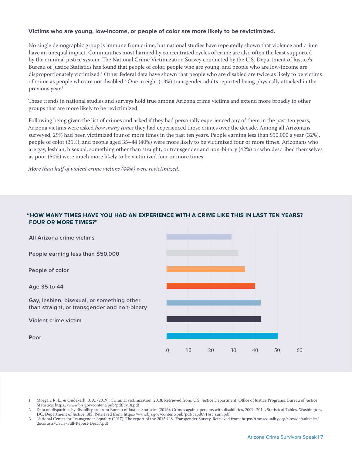# **Victims who are young, low-income, or people of color are more likely to be revictimized.**

No single demographic group is immune from crime, but national studies have repeatedly shown that violence and crime have an unequal impact. Communities most harmed by concentrated cycles of crime are also often the least supported by the criminal justice system. The National Crime Victimization Survey conducted by the U.S. Department of Justice's Bureau of Justice Statistics has found that people of color, people who are young, and people who are low-income are disproportionately victimized.1 Other federal data have shown that people who are disabled are twice as likely to be victims of crime as people who are not disabled.2 One in eight (13%) transgender adults reported being physically attacked in the previous year.<sup>3</sup>

These trends in national studies and surveys hold true among Arizona crime victims and extend more broadly to other groups that are more likely to be revictimized.

Following being given the list of crimes and asked if they had personally experienced any of them in the past ten years, Arizona victims were asked *how many times* they had experienced those crimes over the decade. Among all Arizonans surveyed, 29% had been victimized four or more times in the past ten years. People earning less than \$50,000 a year (32%), people of color (35%), and people aged 35–44 (40%) were more likely to be victimized four or more times. Arizonans who are gay, lesbian, bisexual, something other than straight, or transgender and non-binary (42%) or who described themselves as poor (50%) were much more likely to be victimized four or more times.

*More than half of violent crime victims (44%) were revictimized.* 

# **"HOW MANY TIMES HAVE YOU HAD AN EXPERIENCE WITH A CRIME LIKE THIS IN LAST TEN YEARS? FOUR OR MORE TIMES?"**



1 Morgan, R. E., & Oudekerk, B. A. (2019). Criminal victimization, 2018. Retrieved from: U.S. Justice Department, Office of Justice Programs, Bureau of Justice Statistics: <https://www.bjs.gov/content/pub/pdf/cv18.pdf>

2 Data on disparities by disability are from Bureau of Justice Statistics (2016). Crimes against persons with disabilities, 2009–2014, Statistical Tables. Washington, DC: Department of Justice, BJS. Retrieved from: [https://www.bjs.gov/content/pub/pdf/capd0914st\\_sum.pdf](https://www.bjs.gov/content/pub/pdf/capd0914st_sum.pdf) 

3 National Center for Transgender Equality (2017). The report of the 2015 U.S. Transgender Survey. Retrieved from: [https://transequality.org/sites/default/files/](https://transequality.org/sites/default/files/docs/usts/USTS-Full-Report-Dec17.pdf) [docs/usts/USTS-Full-Report-Dec17.pdf](https://transequality.org/sites/default/files/docs/usts/USTS-Full-Report-Dec17.pdf)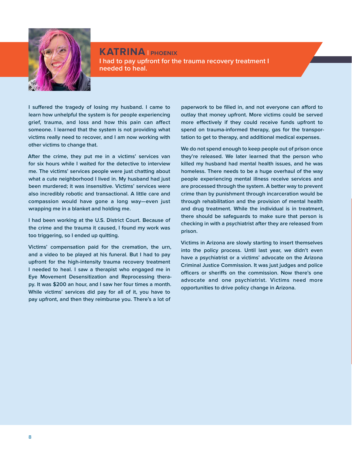

**KATRINA | phoenix I had to pay upfront for the trauma recovery treatment I needed to heal.**

**I suffered the tragedy of losing my husband. I came to learn how unhelpful the system is for people experiencing grief, trauma, and loss and how this pain can affect someone. I learned that the system is not providing what victims really need to recover, and I am now working with other victims to change that.**

**After the crime, they put me in a victims' services van for six hours while I waited for the detective to interview me. The victims' services people were just chatting about what a cute neighborhood I lived in. My husband had just been murdered; it was insensitive. Victims' services were also incredibly robotic and transactional. A little care and compassion would have gone a long way—even just wrapping me in a blanket and holding me.**

**I had been working at the U.S. District Court. Because of the crime and the trauma it caused, I found my work was too triggering, so I ended up quitting.**

**Victims' compensation paid for the cremation, the urn, and a video to be played at his funeral. But I had to pay upfront for the high-intensity trauma recovery treatment I needed to heal. I saw a therapist who engaged me in Eye Movement Desensitization and Reprocessing therapy. It was \$200 an hour, and I saw her four times a month. While victims' services did pay for all of it, you have to pay upfront, and then they reimburse you. There's a lot of** 

**paperwork to be filled in, and not everyone can afford to outlay that money upfront. More victims could be served more effectively if they could receive funds upfront to spend on trauma-informed therapy, gas for the transportation to get to therapy, and additional medical expenses.**

**We do not spend enough to keep people out of prison once they're released. We later learned that the person who killed my husband had mental health issues, and he was homeless. There needs to be a huge overhaul of the way people experiencing mental illness receive services and are processed through the system. A better way to prevent crime than by punishment through incarceration would be through rehabilitation and the provision of mental health and drug treatment. While the individual is in treatment, there should be safeguards to make sure that person is checking in with a psychiatrist after they are released from prison.**

**Victims in Arizona are slowly starting to insert themselves into the policy process. Until last year, we didn't even have a psychiatrist or a victims' advocate on the Arizona Criminal Justice Commission. It was just judges and police officers or sheriffs on the commission. Now there's one advocate and one psychiatrist. Victims need more opportunities to drive policy change in Arizona.**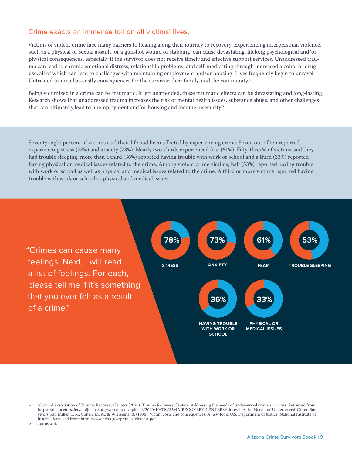# Crime exacts an immense toll on all victims' lives.

Victims of violent crime face many barriers to healing along their journey to recovery. Experiencing interpersonal violence, such as a physical or sexual assault, or a gunshot wound or stabbing, can cause devastating, lifelong psychological and/or physical consequences, especially if the survivor does not receive timely and effective support services. Unaddressed trauma can lead to chronic emotional distress, relationship problems, and self-medicating through increased alcohol or drug use, all of which can lead to challenges with maintaining employment and/or housing. Lives frequently begin to unravel. Untreated trauma has costly consequences for the survivor, their family, and the community.4

Being victimized in a crime can be traumatic. If left unattended, these traumatic effects can be devastating and long-lasting. Research shows that unaddressed trauma increases the risk of mental health issues, substance abuse, and other challenges that can ultimately lead to unemployment and/or housing and income insecurity.<sup>5</sup>

Seventy-eight percent of victims said their life had been affected by experiencing crime. Seven out of ten reported experiencing stress (78%) and anxiety (73%). Nearly two-thirds experienced fear (61%). Fifty-three% of victims said they had trouble sleeping, more than a third (36%) reported having trouble with work or school and a third (33%) reported having physical or medical issues related to the crime. Among violent crime victims, half (53%) reported having trouble with work or school as well as physical and medical issues related to the crime. A third or more victims reported having trouble with work or school or physical and medical issues.

"Crimes can cause many feelings. Next, I will read a list of feelings. For each, please tell me if it's something that you ever felt as a result of a crime."



5 See note 4.

<sup>4</sup> National Association of Trauma Recovery Centers (2020). Trauma Recovery Centers: Addressing the needs of underserved crime survivors. Retrieved from: [https://allianceforsafetyandjustice.org/wp-content/uploads/2020/10/TRAUMA-RECOVERY-CENTERSAddressing-the-Needs-of-Underserved-Crime-Sur](https://allianceforsafetyandjustice.org/wp-content/uploads/2020/10/TRAUMA-RECOVERY-CENTERSAddressing-the-Needs-of-Underserved-Crime-Survivors.pdf)[vivors.pdf](https://allianceforsafetyandjustice.org/wp-content/uploads/2020/10/TRAUMA-RECOVERY-CENTERSAddressing-the-Needs-of-Underserved-Crime-Survivors.pdf); Miller, T. R., Cohen, M. A., & Wiersema, B. (1996). Victim costs and consequences: A new look. U.S. Department of Justice, National Institute of Justice. Retrieved from:<http://www.ncjrs.gov/pdffiles/victcost.pdf>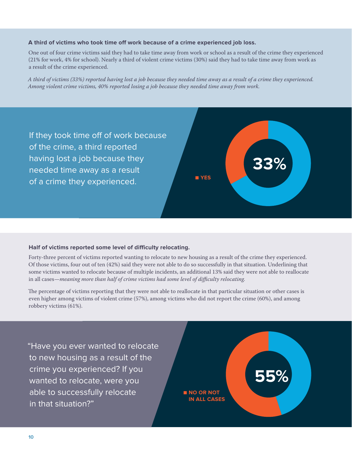### **A third of victims who took time off work because of a crime experienced job loss.**

One out of four crime victims said they had to take time away from work or school as a result of the crime they experienced (21% for work, 4% for school). Nearly a third of violent crime victims (30%) said they had to take time away from work as a result of the crime experienced.

*A third of victims (33%) reported having lost a job because they needed time away as a result of a crime they experienced. Among violent crime victims, 40% reported losing a job because they needed time away from work.*



### **Half of victims reported some level of difficulty relocating.**

Forty-three percent of victims reported wanting to relocate to new housing as a result of the crime they experienced. Of those victims, four out of ten (42%) said they were not able to do so successfully in that situation. Underlining that some victims wanted to relocate because of multiple incidents, an additional 13% said they were not able to reallocate in all cases—*meaning more than half of crime victims had some level of difficulty relocating.* 

The percentage of victims reporting that they were not able to reallocate in that particular situation or other cases is even higher among victims of violent crime (57%), among victims who did not report the crime (60%), and among robbery victims (61%).

"Have you ever wanted to relocate to new housing as a result of the crime you experienced? If you wanted to relocate, were you able to successfully relocate in that situation?"

■ **NO OR NOT IN ALL CASES** **55%**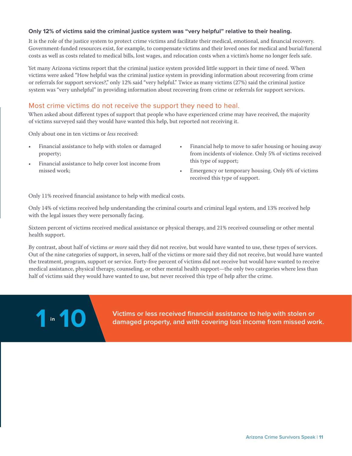# **Only 12% of victims said the criminal justice system was "very helpful" relative to their healing.**

It is the role of the justice system to protect crime victims and facilitate their medical, emotional, and financial recovery. Government-funded resources exist, for example, to compensate victims and their loved ones for medical and burial/funeral costs as well as costs related to medical bills, lost wages, and relocation costs when a victim's home no longer feels safe.

Yet many Arizona victims report that the criminal justice system provided little support in their time of need. When victims were asked "How helpful was the criminal justice system in providing information about recovering from crime or referrals for support services?," only 12% said "very helpful." Twice as many victims (27%) said the criminal justice system was "very unhelpful" in providing information about recovering from crime or referrals for support services.

# Most crime victims do not receive the support they need to heal.

When asked about different types of support that people who have experienced crime may have received, the majority of victims surveyed said they would have wanted this help, but reported not receiving it.

Only about one in ten victims or *less* received:

- Financial assistance to help with stolen or damaged property;
- Financial assistance to help cover lost income from missed work;
- Financial help to move to safer housing or houing away from incidents of violence. Only 5% of victims received this type of support;
- Emergency or temporary housing. Only 6% of victims received this type of support.

Only 11% received financial assistance to help with medical costs.

Only 14% of victims received help understanding the criminal courts and criminal legal system, and 13% received help with the legal issues they were personally facing.

Sixteen percent of victims received medical assistance or physical therapy, and 21% received counseling or other mental health support.

By contrast, about half of victims *or more* said they did not receive, but would have wanted to use, these types of services. Out of the nine categories of support, in seven, half of the victims or more said they did not receive, but would have wanted the treatment, program, support or service. Forty-five percent of victims did not receive but would have wanted to receive medical assistance, physical therapy, counseling, or other mental health support—the only two categories where less than half of victims said they would have wanted to use, but never received this type of help after the crime.



**1 10 damaged property, and with covering lost income from missed work.**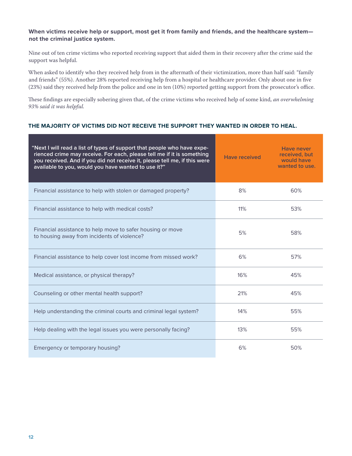# **When victims receive help or support, most get it from family and friends, and the healthcare system not the criminal justice system.**

Nine out of ten crime victims who reported receiving support that aided them in their recovery after the crime said the support was helpful.

When asked to identify who they received help from in the aftermath of their victimization, more than half said: "family and friends" (55%). Another 28% reported receiving help from a hospital or healthcare provider. Only about one in five (23%) said they received help from the police and one in ten (10%) reported getting support from the prosecutor's office.

These findings are especially sobering given that, of the crime victims who received help of some kind, *an overwhelming 93% said it was helpful.* 

# **THE MAJORITY OF VICTIMS DID NOT RECEIVE THE SUPPORT THEY WANTED IN ORDER TO HEAL.**

| "Next I will read a list of types of support that people who have expe-<br>rienced crime may receive. For each, please tell me if it is something<br>you received. And if you did not receive it, please tell me, if this were<br>available to you, would you have wanted to use it?" | <b>Have received</b> | <b>Have never</b><br>received, but<br>would have<br>wanted to use. |
|---------------------------------------------------------------------------------------------------------------------------------------------------------------------------------------------------------------------------------------------------------------------------------------|----------------------|--------------------------------------------------------------------|
| Financial assistance to help with stolen or damaged property?                                                                                                                                                                                                                         | 8%                   | 60%                                                                |
| Financial assistance to help with medical costs?                                                                                                                                                                                                                                      | 11%                  | 53%                                                                |
| Financial assistance to help move to safer housing or move<br>to housing away from incidents of violence?                                                                                                                                                                             | 5%                   | 58%                                                                |
| Financial assistance to help cover lost income from missed work?                                                                                                                                                                                                                      | 6%                   | 57%                                                                |
| Medical assistance, or physical therapy?                                                                                                                                                                                                                                              | 16%                  | 45%                                                                |
| Counseling or other mental health support?                                                                                                                                                                                                                                            | 21%                  | 45%                                                                |
| Help understanding the criminal courts and criminal legal system?                                                                                                                                                                                                                     | 14%                  | 55%                                                                |
| Help dealing with the legal issues you were personally facing?                                                                                                                                                                                                                        | 13%                  | 55%                                                                |
| Emergency or temporary housing?                                                                                                                                                                                                                                                       | 6%                   | 50%                                                                |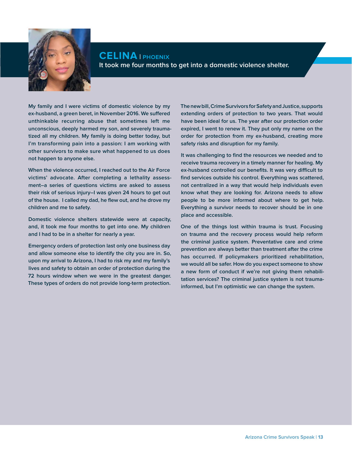

**CELINA | phoenix It took me four months to get into a domestic violence shelter.** 

**My family and I were victims of domestic violence by my ex-husband, a green beret, in November 2016. We suffered unthinkable recurring abuse that sometimes left me unconscious, deeply harmed my son, and severely traumatized all my children. My family is doing better today, but I'm transforming pain into a passion: I am working with other survivors to make sure what happened to us does not happen to anyone else.** 

**When the violence occurred, I reached out to the Air Force victims' advocate. After completing a lethality assessment–a series of questions victims are asked to assess their risk of serious injury–I was given 24 hours to get out of the house. I called my dad, he flew out, and he drove my children and me to safety.** 

**Domestic violence shelters statewide were at capacity, and, it took me four months to get into one. My children and I had to be in a shelter for nearly a year.** 

**Emergency orders of protection last only one business day and allow someone else to identify the city you are in. So, upon my arrival to Arizona, I had to risk my and my family's lives and safety to obtain an order of protection during the 72 hours window when we were in the greatest danger. These types of orders do not provide long-term protection.** 

**The new bill, Crime Survivors for Safety and Justice, supports extending orders of protection to two years. That would have been ideal for us. The year after our protection order expired, I went to renew it. They put only my name on the order for protection from my ex-husband, creating more safety risks and disruption for my family.** 

**It was challenging to find the resources we needed and to receive trauma recovery in a timely manner for healing. My ex-husband controlled our benefits. It was very difficult to find services outside his control. Everything was scattered, not centralized in a way that would help individuals even know what they are looking for. Arizona needs to allow people to be more informed about where to get help. Everything a survivor needs to recover should be in one place and accessible.**

**One of the things lost within trauma is trust. Focusing on trauma and the recovery process would help reform the criminal justice system. Preventative care and crime prevention are always better than treatment after the crime has occurred. If policymakers prioritized rehabilitation, we would all be safer. How do you expect someone to show a new form of conduct if we're not giving them rehabilitation services? The criminal justice system is not traumainformed, but I'm optimistic we can change the system.**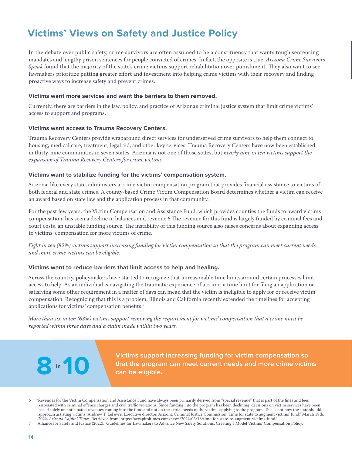# <span id="page-13-0"></span>**Victims' Views on Safety and Justice Policy**

In the debate over public safety, crime survivors are often assumed to be a constituency that wants tough sentencing mandates and lengthy prison sentences for people convicted of crimes. In fact, the opposite is true. *Arizona Crime Survivors Speak* found that the majority of the state's crime victims support rehabilitation over punishment. They also want to see lawmakers prioritize putting greater effort and investment into helping crime victims with their recovery and finding proactive ways to increase safety and prevent crimes.

# **Victims want more services and want the barriers to them removed.**

Currently, there are barriers in the law, policy, and practice of Arizona's criminal justice system that limit crime victims' access to support and programs.

# **Victims want access to Trauma Recovery Centers.**

Trauma Recovery Centers provide wraparound direct services for underserved crime survivors to help them connect to housing, medical care, treatment, legal aid, and other key services. [Trauma Recovery Centers have now been established](https://nationalallianceoftraumarecoverycenters.org/)  [in thirty-nine communities in seven states. A](https://nationalallianceoftraumarecoverycenters.org/)rizona is not one of those states, but *nearly nine in ten victims support the expansion of Trauma Recovery Centers for crime victims.*

# **Victims want to stabilize funding for the victims' compensation system.**

Arizona, like every state, administers a crime victim compensation program that provides financial assistance to victims of both federal and state crimes. A county-based Crime Victim Compensation Board determines whether a victim can receive an award based on state law and the application process in that community.

For the past few years, the Victim Compensation and Assistance Fund, which provides counties the funds to award victims compensation, has seen a decline in balances and revenue.6 The revenue for this fund is largely funded by criminal fees and court costs, an unstable funding source. The instability of this funding source also raises concerns about expanding access to victims' compensation for more victims of crime.

*Eight in ten (82%) victims support increasing funding for victim compensation so that the program can meet current needs and more crime victims can be eligible.* 

# **Victims want to reduce barriers that limit access to help and healing.**

Across the country, policymakers have started to recognize that unreasonable time limits around certain processes limit access to help. As an individual is navigating the traumatic experience of a crime, a time limit for filing an application or satisfying some other requirement in a matter of days can mean that the victim is ineligible to apply for or receive victim compensation. Recognizing that this is a problem, Illinois and California recently extended the timelines for accepting applications for victims' compensation benefits.7

*More than six in ten (63%) victims support removing the requirement for victims' compensation that a crime must be reported within three days and a claim made within two years.*

> **Victims support increasing funding for victim compensation so that the program can meet current needs and more crime victims 8 10 can be eligible.**

**8** in 10

<sup>6</sup> "Revenues for the Victim Compensation and Assistance Fund have always been primarily derived from "special revenue" that is part of the fines and fees associated with criminal offense charges and civil traffic violations. Since funding into the program has been declining, decisions on victim services have been based solely on anticipated revenues coming into the fund and not on the actual needs of the victims applying to the program. This is not how the state should approach assisting victims. Andrew T. LeFevre, Executive director, Arizona Criminal Justice Commission, Time for state to augment victims' fund," March 18th, 2022, *Arizona Capitol Times*. Retrieved from: <https://azcapitoltimes.com/news/2022/03/18/time-for-state-to-augment-victims-fund/>

<sup>7</sup> Alliance for Safety and Justice (2022). Guidelines for Lawmakers to Advance New Safety Solutions, Creating a Model Victims' Compensation Policy.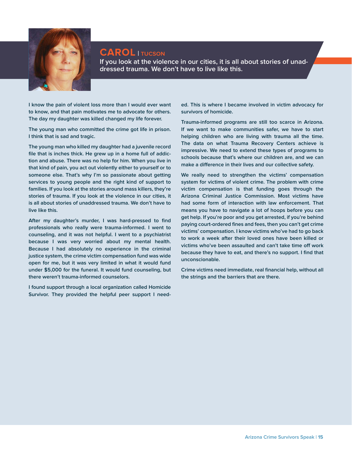

# **CAROL | tucson**

**If you look at the violence in our cities, it is all about stories of unaddressed trauma. We don't have to live like this.**

**I know the pain of violent loss more than I would ever want to know, and that pain motivates me to advocate for others. The day my daughter was killed changed my life forever.**

**The young man who committed the crime got life in prison. I think that is sad and tragic.**

**The young man who killed my daughter had a juvenile record file that is inches thick. He grew up in a home full of addiction and abuse. There was no help for him. When you live in that kind of pain, you act out violently either to yourself or to someone else. That's why I'm so passionate about getting services to young people and the right kind of support to families. If you look at the stories around mass killers, they're stories of trauma. If you look at the violence in our cities, it is all about stories of unaddressed trauma. We don't have to live like this.**

**After my daughter's murder, I was hard-pressed to find professionals who really were trauma-informed. I went to counseling, and it was not helpful. I went to a psychiatrist because I was very worried about my mental health. Because I had absolutely no experience in the criminal justice system, the crime victim compensation fund was wide open for me, but it was very limited in what it would fund under \$5,000 for the funeral. It would fund counseling, but there weren't trauma-informed counselors.** 

**I found support through a local organization called Homicide Survivor. They provided the helpful peer support I need-**

**ed. This is where I became involved in victim advocacy for survivors of homicide.**

**Trauma-informed programs are still too scarce in Arizona. If we want to make communities safer, we have to start helping children who are living with trauma all the time. The data on what Trauma Recovery Centers achieve is impressive. We need to extend these types of programs to schools because that's where our children are, and we can make a difference in their lives and our collective safety.** 

**We really need to strengthen the victims' compensation system for victims of violent crime. The problem with crime victim compensation is that funding goes through the Arizona Criminal Justice Commission. Most victims have had some form of interaction with law enforcement. That means you have to navigate a lot of hoops before you can get help. If you're poor and you get arrested, if you're behind paying court-ordered fines and fees, then you can't get crime victims' compensation. I know victims who've had to go back to work a week after their loved ones have been killed or victims who've been assaulted and can't take time off work because they have to eat, and there's no support. I find that unconscionable.**

**Crime victims need immediate, real financial help, without all the strings and the barriers that are there.**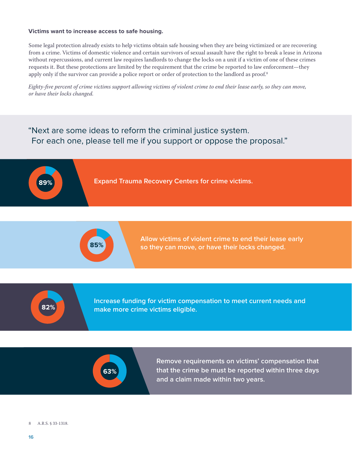### **Victims want to increase access to safe housing.**

Some legal protection already exists to help victims obtain safe housing when they are being victimized or are recovering from a crime. Victims of domestic violence and certain survivors of sexual assault have the right to break a lease in Arizona without repercussions, and current law requires landlords to change the locks on a unit if a victim of one of these crimes requests it. But these protections are limited by the requirement that the crime be reported to law enforcement—they apply only if the survivor can provide a police report or order of protection to the landlord as proof.<sup>8</sup>

*Eighty-five percent of crime victims support allowing victims of violent crime to end their lease early, so they can move, or have their locks changed.*

# "Next are some ideas to reform the criminal justice system. For each one, please tell me if you support or oppose the proposal."





**Allow victims of violent crime to end their lease early so they can move, or have their locks changed.**



**Increase funding for victim compensation to meet current needs and make more crime victims eligible.**



**Remove requirements on victims' compensation that that the crime be must be reported within three days and a claim made within two years.**

### 8 A.R.S. § 33-1318.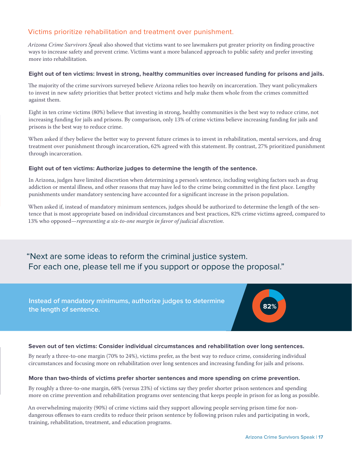# Victims prioritize rehabilitation and treatment over punishment.

*Arizona Crime Survivors Speak* also showed that victims want to see lawmakers put greater priority on finding proactive ways to increase safety and prevent crime. Victims want a more balanced approach to public safety and prefer investing more into rehabilitation.

# **Eight out of ten victims: Invest in strong, healthy communities over increased funding for prisons and jails.**

The majority of the crime survivors surveyed believe Arizona relies too heavily on incarceration. They want policymakers to invest in new safety priorities that better protect victims and help make them whole from the crimes committed against them.

Eight in ten crime victims (80%) believe that investing in strong, healthy communities is the best way to reduce crime, not increasing funding for jails and prisons. By comparison, only 13% of crime victims believe increasing funding for jails and prisons is the best way to reduce crime.

When asked if they believe the better way to prevent future crimes is to invest in rehabilitation, mental services, and drug treatment over punishment through incarceration, 62% agreed with this statement. By contrast, 27% prioritized punishment through incarceration.

### **Eight out of ten victims: Authorize judges to determine the length of the sentence.**

In Arizona, judges have limited discretion when determining a person's sentence, including weighing factors such as drug addiction or mental illness, and other reasons that may have led to the crime being committed in the first place. Lengthy punishments under mandatory sentencing have accounted for a significant increase in the prison population.

When asked if, instead of mandatory minimum sentences, judges should be authorized to determine the length of the sentence that is most appropriate based on individual circumstances and best practices, 82% crime victims agreed, compared to 13% who opposed—*representing a six-to-one margin in favor of judicial discretion*.

"Next are some ideas to reform the criminal justice system. For each one, please tell me if you support or oppose the proposal."

**Instead of mandatory minimums, authorize judges to determine the length of sentence.** 



# **Seven out of ten victims: Consider individual circumstances and rehabilitation over long sentences.**

By nearly a three-to-one margin (70% to 24%), victims prefer, as the best way to reduce crime, considering individual circumstances and focusing more on rehabilitation over long sentences and increasing funding for jails and prisons.

### **More than two-thirds of victims prefer shorter sentences and more spending on crime prevention.**

By roughly a three-to-one margin, 68% (versus 23%) of victims say they prefer shorter prison sentences and spending more on crime prevention and rehabilitation programs over sentencing that keeps people in prison for as long as possible.

An overwhelming majority (90%) of crime victims said they support allowing people serving prison time for nondangerous offenses to earn credits to reduce their prison sentence by following prison rules and participating in work, training, rehabilitation, treatment, and education programs.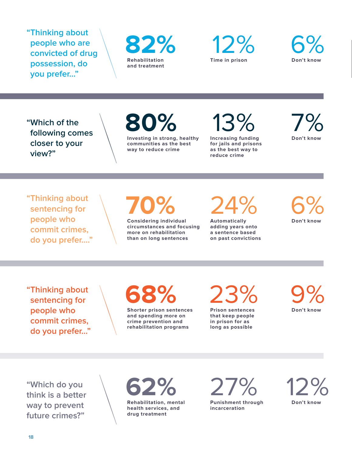**"Thinking about people who are convicted of drug possession, do you prefer…"**







**"Which of the following comes closer to your view?"**

**80%**

**Investing in strong, healthy communities as the best way to reduce crime**

13% 7% **Increasing funding** 

**for jails and prisons as the best way to reduce crime**

**Don't know**

**"Thinking about sentencing for people who commit crimes, do you prefer…."** **70%**

**Considering individual circumstances and focusing more on rehabilitation than on long sentences**

24% 6%

**Automatically adding years onto a sentence based on past convictions** **Don't know**

**"Thinking about sentencing for people who commit crimes, do you prefer…"** **68% Shorter prison sentences** 

**and spending more on crime prevention and rehabilitation programs** 23% 9% **Prison sentences** 

**that keep people in prison for as long as possible**

**Don't know**

**"Which do you think is a better way to prevent future crimes?"**



**Punishment through incarceration**

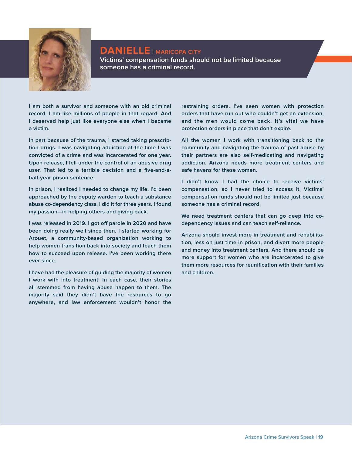

# **DANIELLE | maricopa city Victims' compensation funds should not be limited because someone has a criminal record.**

**I am both a survivor and someone with an old criminal record. I am like millions of people in that regard. And I deserved help just like everyone else when I became a victim.**

**In part because of the trauma, I started taking prescription drugs. I was navigating addiction at the time I was convicted of a crime and was incarcerated for one year. Upon release, I fell under the control of an abusive drug user. That led to a terrible decision and a five-and-ahalf-year prison sentence.** 

**In prison, I realized I needed to change my life. I'd been approached by the deputy warden to teach a substance abuse co-dependency class. I did it for three years. I found my passion—in helping others and giving back.** 

**I was released in 2019. I got off parole in 2020 and have been doing really well since then. I started working for Arouet, a community-based organization working to help women transition back into society and teach them how to succeed upon release. I've been working there ever since.** 

**I have had the pleasure of guiding the majority of women I work with into treatment. In each case, their stories all stemmed from having abuse happen to them. The majority said they didn't have the resources to go anywhere, and law enforcement wouldn't honor the** 

**restraining orders. I've seen women with protection orders that have run out who couldn't get an extension, and the men would come back. It's vital we have protection orders in place that don't expire.**

**All the women I work with transitioning back to the community and navigating the trauma of past abuse by their partners are also self-medicating and navigating addiction. Arizona needs more treatment centers and safe havens for these women.** 

**I didn't know I had the choice to receive victims' compensation, so I never tried to access it. Victims' compensation funds should not be limited just because someone has a criminal record.** 

**We need treatment centers that can go deep into codependency issues and can teach self-reliance.** 

**Arizona should invest more in treatment and rehabilitation, less on just time in prison, and divert more people and money into treatment centers. And there should be more support for women who are incarcerated to give them more resources for reunification with their families and children.**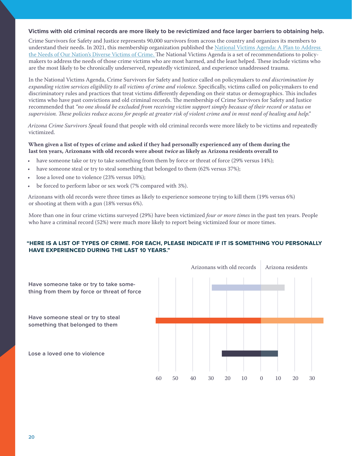### **Victims with old criminal records are more likely to be revictimized and face larger barriers to obtaining help.**

Crime Survivors for Safety and Justice represents 90,000 survivors from across the country and organizes its members to understand their needs. In 2021, this membership organization published the [National Victims Agenda: A Plan to Address](https://allianceforsafetyandjustice.org/wp-content/uploads/2021/05/NationalCrimeVictimsAgenda.Summary_050621.pdf)  [the Needs of Our Nation's Diverse Victims of Crime. Th](https://allianceforsafetyandjustice.org/wp-content/uploads/2021/05/NationalCrimeVictimsAgenda.Summary_050621.pdf)e National Victims Agenda is a set of recommendations to policymakers to address the needs of those crime victims who are most harmed, and the least helped. These include victims who are the most likely to be chronically underserved, repeatedly victimized, and experience unaddressed trauma.

In the [National Victims Agenda,](https://allianceforsafetyandjustice.org/national-victims-agenda/) Crime Survivors for Safety and Justice called on policymakers to *end discrimination by expanding victim services eligibility to all victims of crime and violence.* Specifically, victims called on policymakers to end discriminatory rules and practices that treat victims differently depending on their status or demographics. This includes victims who have past convictions and old criminal records. The membership of Crime Survivors for Safety and Justice recommended that *"no one should be excluded from receiving victim support simply because of their record or status on supervision. These policies reduce access for people at greater risk of violent crime and in most need of healing and help."*

*Arizona Crime Survivors Speak* found that people with old criminal records were more likely to be victims and repeatedly victimized.

# **When given a list of types of crime and asked if they had personally experienced any of them during the last ten years, Arizonans with old records were about twice as likely as Arizona residents overall to**

- have someone take or try to take something from them by force or threat of force (29% versus 14%);
- have someone steal or try to steal something that belonged to them (62% versus 37%);
- lose a loved one to violence (23% versus 10%);
- be forced to perform labor or sex work (7% compared with 3%).

Arizonans with old records were three times as likely to experience someone trying to kill them (19% versus 6%) or shooting at them with a gun (18% versus 6%).

More than one in four crime victims surveyed (29%) have been victimized *four or more times* in the past ten years. People who have a criminal record (52%) were much more likely to report being victimized four or more times.

# **"HERE IS A LIST OF TYPES OF CRIME. FOR EACH, PLEASE INDICATE IF IT IS SOMETHING YOU PERSONALLY HAVE EXPERIENCED DURING THE LAST 10 YEARS."**

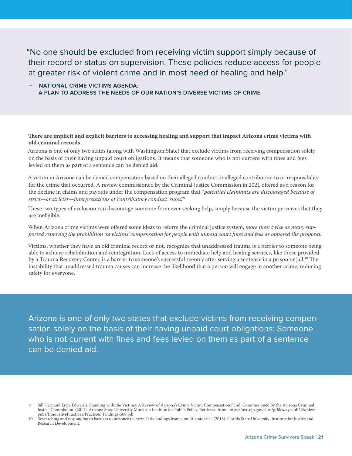"No one should be excluded from receiving victim support simply because of their record or status on supervision. These policies reduce access for people at greater risk of violent crime and in most need of healing and help."

# – **NATIONAL CRIME VICTIMS AGENDA: A PLAN TO ADDRESS THE NEEDS OF OUR NATION'S DIVERSE VICTIMS OF CRIME**

# **There are implicit and explicit barriers to accessing healing and support that impact Arizona crime victims with old criminal records.**

Arizona is one of only two states (along with Washington State) that exclude victims from receiving compensation solely on the basis of their having unpaid court obligations. It means that someone who is not current with fines and fees levied on them as part of a sentence can be denied aid.

A victim in Arizona can be denied compensation based on their alleged conduct or alleged contribution to or responsibility for the crime that occurred. A review commissioned by the Criminal Justice Commission in 2021 offered as a reason for the decline in claims and payouts under the compensation program that *"potential claimants are discouraged because of strict—or stricter—interpretations of 'contributory conduct' rules."*<sup>9</sup>

These two types of exclusion can discourage someone from ever seeking help, simply because the victim perceives that they are ineligible.

### When Arizona crime victims were offered some ideas to reform the criminal justice system, *more than twice as many supported removing the prohibition on victims' compensation for people with unpaid court fines and fees as opposed the proposal.*

Victims, whether they have an old criminal record or not, recognize that unaddressed trauma is a barrier to someone being able to achieve rehabilitation and reintegration. Lack of access to immediate help and healing services, like those provided by a Trauma Recovery Center, is a barrier to someone's successful reentry after serving a sentence in a prison or jail.<sup>10</sup> The instability that unaddressed trauma causes can increase the likelihood that a person will engage in another crime, reducing safety for everyone.

Arizona is one of only two states that exclude victims from receiving compensation solely on the basis of their having unpaid court obligations: Someone who is not current with fines and fees levied on them as part of a sentence can be denied aid.

<sup>9</sup> Bill Hart and Erica Edwards. Standing with the Victims: A Review of Arizona's Crime Victim Compensation Fund. Commissioned by the Arizona Criminal Justice Commission. (2011). Arizona State University Morrison Institute for Public Policy. Retrieved from: [https://ovc.ojp.gov/sites/g/files/xyckuh226/files/](https://ovc.ojp.gov/sites/g/files/xyckuh226/files/pubs/InnovativePractices/Practices_Findings-508.pdf) [pubs/InnovativePractices/Practices\\_Findings-508.pdf](https://ovc.ojp.gov/sites/g/files/xyckuh226/files/pubs/InnovativePractices/Practices_Findings-508.pdf)

<sup>10</sup> Researching and responding to barriers to prisoner reentry: Early findings from a multi-state trial. (2018). Florida State University: Institute for Justice and Research Development.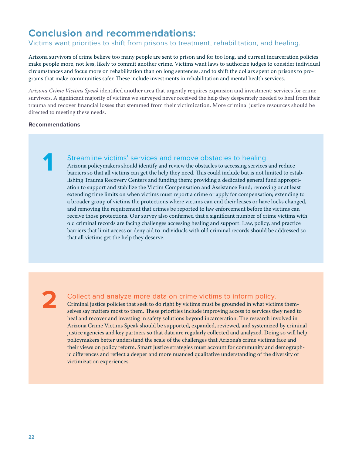# <span id="page-21-0"></span>**Conclusion and recommendations:**

# Victims want priorities to shift from prisons to treatment, rehabilitation, and healing.

Arizona survivors of crime believe too many people are sent to prison and for too long, and current incarceration policies make people more, not less, likely to commit another crime. Victims want laws to authorize judges to consider individual circumstances and focus more on rehabilitation than on long sentences, and to shift the dollars spent on prisons to programs that make communities safer. These include investments in rehabilitation and mental health services.

*Arizona Crime Victims Speak* identified another area that urgently requires expansion and investment: services for crime survivors. A significant majority of victims we surveyed never received the help they desperately needed to heal from their trauma and recover financial losses that stemmed from their victimization. More criminal justice resources should be directed to meeting these needs.

### **Recommendations**

**1**

# Streamline victims' services and remove obstacles to healing.

Arizona policymakers should identify and review the obstacles to accessing services and reduce barriers so that all victims can get the help they need. This could include but is not limited to establishing Trauma Recovery Centers and funding them; providing a dedicated general fund appropriation to support and stabilize the Victim Compensation and Assistance Fund; removing or at least extending time limits on when victims must report a crime or apply for compensation; extending to a broader group of victims the protections where victims can end their leases or have locks changed, and removing the requirement that crimes be reported to law enforcement before the victims can receive those protections. Our survey also confirmed that a significant number of crime victims with old criminal records are facing challenges accessing healing and support. Law, policy, and practice barriers that limit access or deny aid to individuals with old criminal records should be addressed so that all victims get the help they deserve.

**2**

# Collect and analyze more data on crime victims to inform policy.

Criminal justice policies that seek to do right by victims must be grounded in what victims themselves say matters most to them. These priorities include improving access to services they need to heal and recover and investing in safety solutions beyond incarceration. The research involved in Arizona Crime Victims Speak should be supported, expanded, reviewed, and systemized by criminal justice agencies and key partners so that data are regularly collected and analyzed. Doing so will help policymakers better understand the scale of the challenges that Arizona's crime victims face and their views on policy reform. Smart justice strategies must account for community and demographic differences and reflect a deeper and more nuanced qualitative understanding of the diversity of victimization experiences.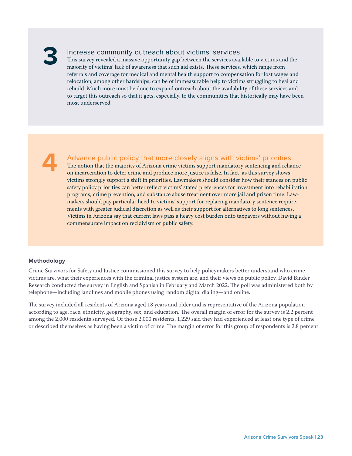# <span id="page-22-0"></span>**3**

# Increase community outreach about victims' services.

This survey revealed a massive opportunity gap between the services available to victims and the majority of victims' lack of awareness that such aid exists. These services, which range from referrals and coverage for medical and mental health support to compensation for lost wages and relocation, among other hardships, can be of immeasurable help to victims struggling to heal and rebuild. Much more must be done to expand outreach about the availability of these services and to target this outreach so that it gets, especially, to the communities that historically may have been most underserved.

**4**

# Advance public policy that more closely aligns with victims' priorities.

The notion that the majority of Arizona crime victims support mandatory sentencing and reliance on incarceration to deter crime and produce more justice is false. In fact, as this survey shows, victims strongly support a shift in priorities. Lawmakers should consider how their stances on public safety policy priorities can better reflect victims' stated preferences for investment into rehabilitation programs, crime prevention, and substance abuse treatment over more jail and prison time. Lawmakers should pay particular heed to victims' support for replacing mandatory sentence requirements with greater judicial discretion as well as their support for alternatives to long sentences. Victims in Arizona say that current laws pass a heavy cost burden onto taxpayers without having a commensurate impact on recidivism or public safety.

# **Methodology**

Crime Survivors for Safety and Justice commissioned this survey to help policymakers better understand who crime victims are, what their experiences with the criminal justice system are, and their views on public policy. David Binder Research conducted the survey in English and Spanish in February and March 2022. The poll was administered both by telephone—including landlines and mobile phones using random digital dialing—and online.

The survey included all residents of Arizona aged 18 years and older and is representative of the Arizona population according to age, race, ethnicity, geography, sex, and education. The overall margin of error for the survey is 2.2 percent among the 2,000 residents surveyed. Of those 2,000 residents, 1,229 said they had experienced at least one type of crime or described themselves as having been a victim of crime. The margin of error for this group of respondents is 2.8 percent.